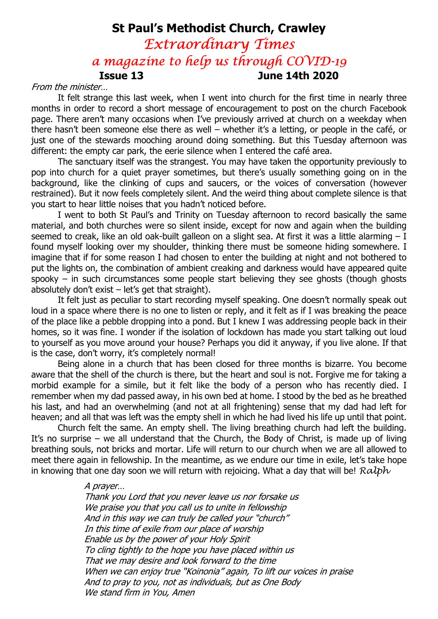# St Paul's Methodist Church, Crawley Extraordinary Times a magazine to help us through COVID-19 Issue 13 June 14th 2020

#### From the minister…

It felt strange this last week, when I went into church for the first time in nearly three months in order to record a short message of encouragement to post on the church Facebook page. There aren't many occasions when I've previously arrived at church on a weekday when there hasn't been someone else there as well – whether it's a letting, or people in the café, or just one of the stewards mooching around doing something. But this Tuesday afternoon was different: the empty car park, the eerie silence when I entered the café area.

The sanctuary itself was the strangest. You may have taken the opportunity previously to pop into church for a quiet prayer sometimes, but there's usually something going on in the background, like the clinking of cups and saucers, or the voices of conversation (however restrained). But it now feels completely silent. And the weird thing about complete silence is that you start to hear little noises that you hadn't noticed before.

I went to both St Paul's and Trinity on Tuesday afternoon to record basically the same material, and both churches were so silent inside, except for now and again when the building seemed to creak, like an old oak-built galleon on a slight sea. At first it was a little alarming - I found myself looking over my shoulder, thinking there must be someone hiding somewhere. I imagine that if for some reason I had chosen to enter the building at night and not bothered to put the lights on, the combination of ambient creaking and darkness would have appeared quite spooky – in such circumstances some people start believing they see ghosts (though ghosts absolutely don't exist  $-$  let's get that straight).

It felt just as peculiar to start recording myself speaking. One doesn't normally speak out loud in a space where there is no one to listen or reply, and it felt as if I was breaking the peace of the place like a pebble dropping into a pond. But I knew I was addressing people back in their homes, so it was fine. I wonder if the isolation of lockdown has made you start talking out loud to yourself as you move around your house? Perhaps you did it anyway, if you live alone. If that is the case, don't worry, it's completely normal!

Being alone in a church that has been closed for three months is bizarre. You become aware that the shell of the church is there, but the heart and soul is not. Forgive me for taking a morbid example for a simile, but it felt like the body of a person who has recently died. I remember when my dad passed away, in his own bed at home. I stood by the bed as he breathed his last, and had an overwhelming (and not at all frightening) sense that my dad had left for heaven; and all that was left was the empty shell in which he had lived his life up until that point.

Church felt the same. An empty shell. The living breathing church had left the building. It's no surprise – we all understand that the Church, the Body of Christ, is made up of living breathing souls, not bricks and mortar. Life will return to our church when we are all allowed to meet there again in fellowship. In the meantime, as we endure our time in exile, let's take hope in knowing that one day soon we will return with rejoicing. What a day that will be!  $Ralph$ 

#### A prayer…

Thank you Lord that you never leave us nor forsake us We praise you that you call us to unite in fellowship And in this way we can truly be called your "church" In this time of exile from our place of worship Enable us by the power of your Holy Spirit To cling tightly to the hope you have placed within us That we may desire and look forward to the time When we can enjoy true "Koinonia" again, To lift our voices in praise And to pray to you, not as individuals, but as One Body We stand firm in You, Amen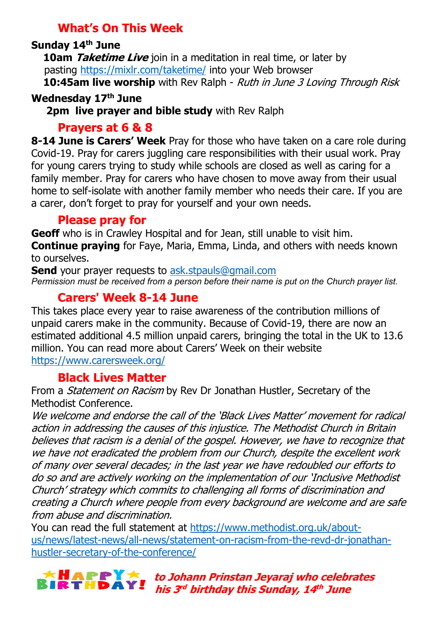## What's On This Week

#### Sunday 14th June

10am Taketime Live join in a meditation in real time, or later by pasting https://mixlr.com/taketime/ into your Web browser 10:45am live worship with Rev Ralph - Ruth in June 3 Loving Through Risk

#### Wednesday 17th June

2pm live prayer and bible study with Rev Ralph

## Prayers at 6 & 8

8-14 June is Carers' Week Pray for those who have taken on a care role during Covid-19. Pray for carers juggling care responsibilities with their usual work. Pray for young carers trying to study while schools are closed as well as caring for a family member. Pray for carers who have chosen to move away from their usual home to self-isolate with another family member who needs their care. If you are a carer, don't forget to pray for yourself and your own needs.

## Please pray for

Geoff who is in Crawley Hospital and for Jean, still unable to visit him. **Continue praying** for Faye, Maria, Emma, Linda, and others with needs known to ourselves.

**Send** your prayer requests to ask.stpauls@gmail.com Permission must be received from a person before their name is put on the Church prayer list.

## Carers' Week 8-14 June

This takes place every year to raise awareness of the contribution millions of unpaid carers make in the community. Because of Covid-19, there are now an estimated additional 4.5 million unpaid carers, bringing the total in the UK to 13.6 million. You can read more about Carers' Week on their website https://www.carersweek.org/

## Black Lives Matter

From a *Statement on Racism* by Rev Dr Jonathan Hustler, Secretary of the Methodist Conference.

We welcome and endorse the call of the 'Black Lives Matter' movement for radical action in addressing the causes of this injustice. The Methodist Church in Britain believes that racism is a denial of the gospel. However, we have to recognize that we have not eradicated the problem from our Church, despite the excellent work of many over several decades; in the last year we have redoubled our efforts to do so and are actively working on the implementation of our 'Inclusive Methodist Church' strategy which commits to challenging all forms of discrimination and creating a Church where people from every background are welcome and are safe from abuse and discrimination.

You can read the full statement at https://www.methodist.org.uk/aboutus/news/latest-news/all-news/statement-on-racism-from-the-revd-dr-jonathanhustler-secretary-of-the-conference/

to Johann Prinstan Jeyaraj who celebrates his 3<sup>rd</sup> birthday this Sunday, 14<sup>th</sup> June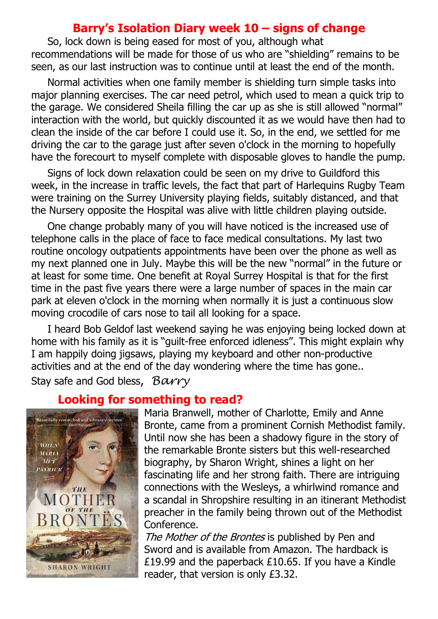#### Barry's Isolation Diary week 10 – signs of change

 So, lock down is being eased for most of you, although what recommendations will be made for those of us who are "shielding" remains to be seen, as our last instruction was to continue until at least the end of the month.

 Normal activities when one family member is shielding turn simple tasks into major planning exercises. The car need petrol, which used to mean a quick trip to the garage. We considered Sheila filling the car up as she is still allowed "normal" interaction with the world, but quickly discounted it as we would have then had to clean the inside of the car before I could use it. So, in the end, we settled for me driving the car to the garage just after seven o'clock in the morning to hopefully have the forecourt to myself complete with disposable gloves to handle the pump.

 Signs of lock down relaxation could be seen on my drive to Guildford this week, in the increase in traffic levels, the fact that part of Harlequins Rugby Team were training on the Surrey University playing fields, suitably distanced, and that the Nursery opposite the Hospital was alive with little children playing outside.

 One change probably many of you will have noticed is the increased use of telephone calls in the place of face to face medical consultations. My last two routine oncology outpatients appointments have been over the phone as well as my next planned one in July. Maybe this will be the new "normal" in the future or at least for some time. One benefit at Royal Surrey Hospital is that for the first time in the past five years there were a large number of spaces in the main car park at eleven o'clock in the morning when normally it is just a continuous slow moving crocodile of cars nose to tail all looking for a space.

 I heard Bob Geldof last weekend saying he was enjoying being locked down at home with his family as it is "guilt-free enforced idleness". This might explain why I am happily doing jigsaws, playing my keyboard and other non-productive activities and at the end of the day wondering where the time has gone.. Stay safe and God bless, Barry

## Looking for something to read?



Maria Branwell, mother of Charlotte, Emily and Anne Bronte, came from a prominent Cornish Methodist family. Until now she has been a shadowy figure in the story of the remarkable Bronte sisters but this well-researched biography, by Sharon Wright, shines a light on her fascinating life and her strong faith. There are intriguing connections with the Wesleys, a whirlwind romance and a scandal in Shropshire resulting in an itinerant Methodist preacher in the family being thrown out of the Methodist Conference.

The Mother of the Brontes is published by Pen and Sword and is available from Amazon. The hardback is £19.99 and the paperback £10.65. If you have a Kindle reader, that version is only £3.32.